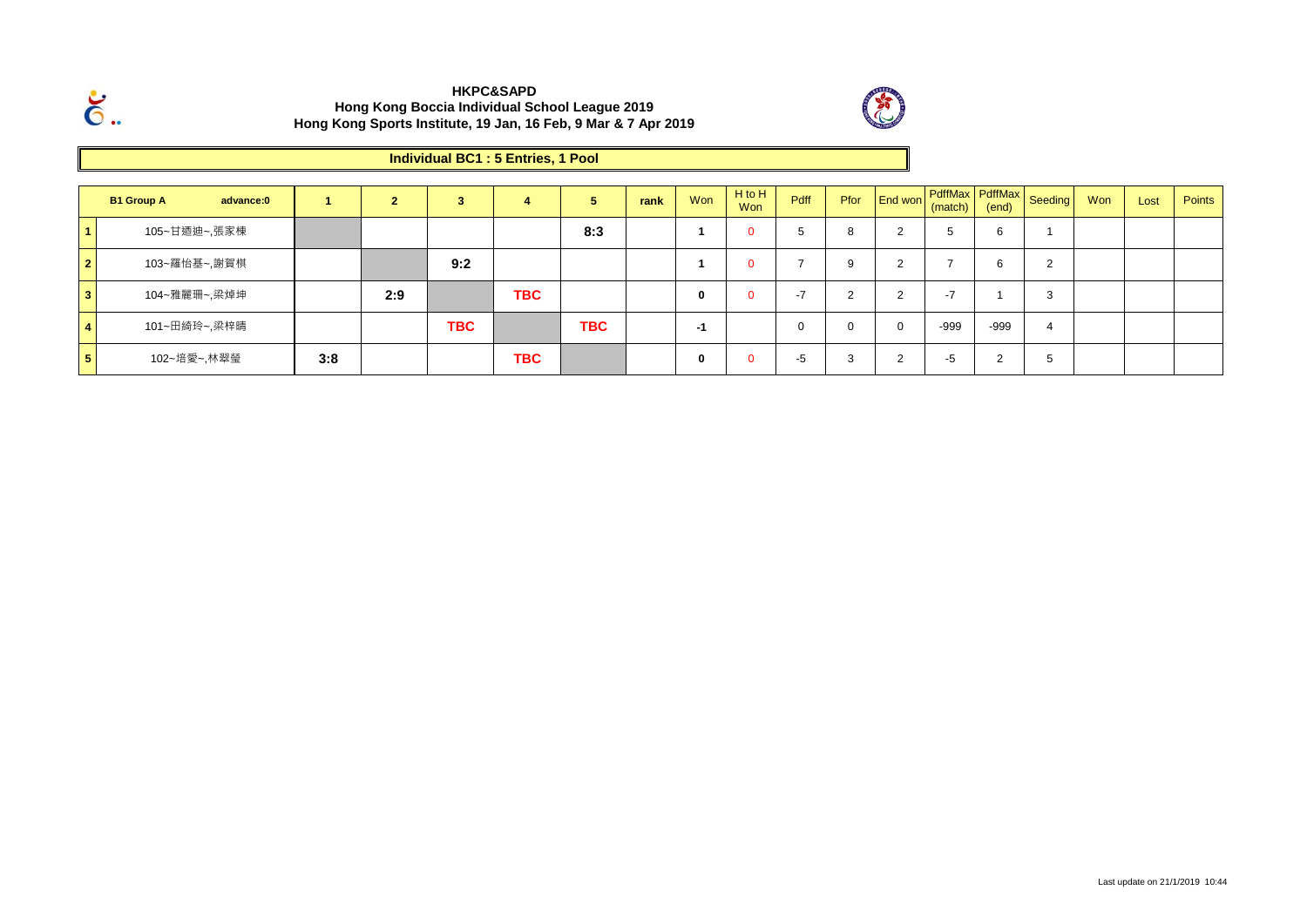

 $\breve{\mathbf{6}}$ .

### **Individual BC1 : 5 Entries, 1 Pool**

|                | <b>B1 Group A</b> | advance:0    |     |     | -5         | л.         | Ð          | rank | Won | $H$ to $H$<br><b>Won</b> | Pdff     | Pfor     | or <b>End won</b> (match) F |                          | (end)       | PdffMax PdffMax Seeding | Won | Lost | Points |
|----------------|-------------------|--------------|-----|-----|------------|------------|------------|------|-----|--------------------------|----------|----------|-----------------------------|--------------------------|-------------|-------------------------|-----|------|--------|
|                |                   | 105~甘迺迪~,張家棟 |     |     |            |            | 8:3        |      |     |                          | ්ට       | 8        | $\sim$                      |                          | 6           |                         |     |      |        |
| $\vert$ 2      |                   | 103~羅怡基~,謝賀棋 |     |     | 9:2        |            |            |      |     |                          |          | 9        | $\sim$                      |                          | $\sim$<br>b |                         |     |      |        |
| 3 <sup>1</sup> |                   | 104~雅麗珊~,梁焯坤 |     | 2:9 |            | <b>TBC</b> |            |      | 0   |                          | $-7$     | ົ<br>∠   | $\sim$                      | $\overline{\phantom{0}}$ |             |                         |     |      |        |
| $\overline{4}$ |                   | 101~田綺玲~,梁梓晴 |     |     | <b>TBC</b> |            | <b>TBC</b> |      | -1  |                          | $\Omega$ | $\Omega$ | $\Omega$                    | -999                     | -999        | 4                       |     |      |        |
| $5^{\circ}$    |                   | 102~培愛~,林翠瑩  | 3:8 |     |            | <b>TBC</b> |            |      | v   |                          | -5       | 3        | $\sim$                      | -5                       | $\sim$      |                         |     |      |        |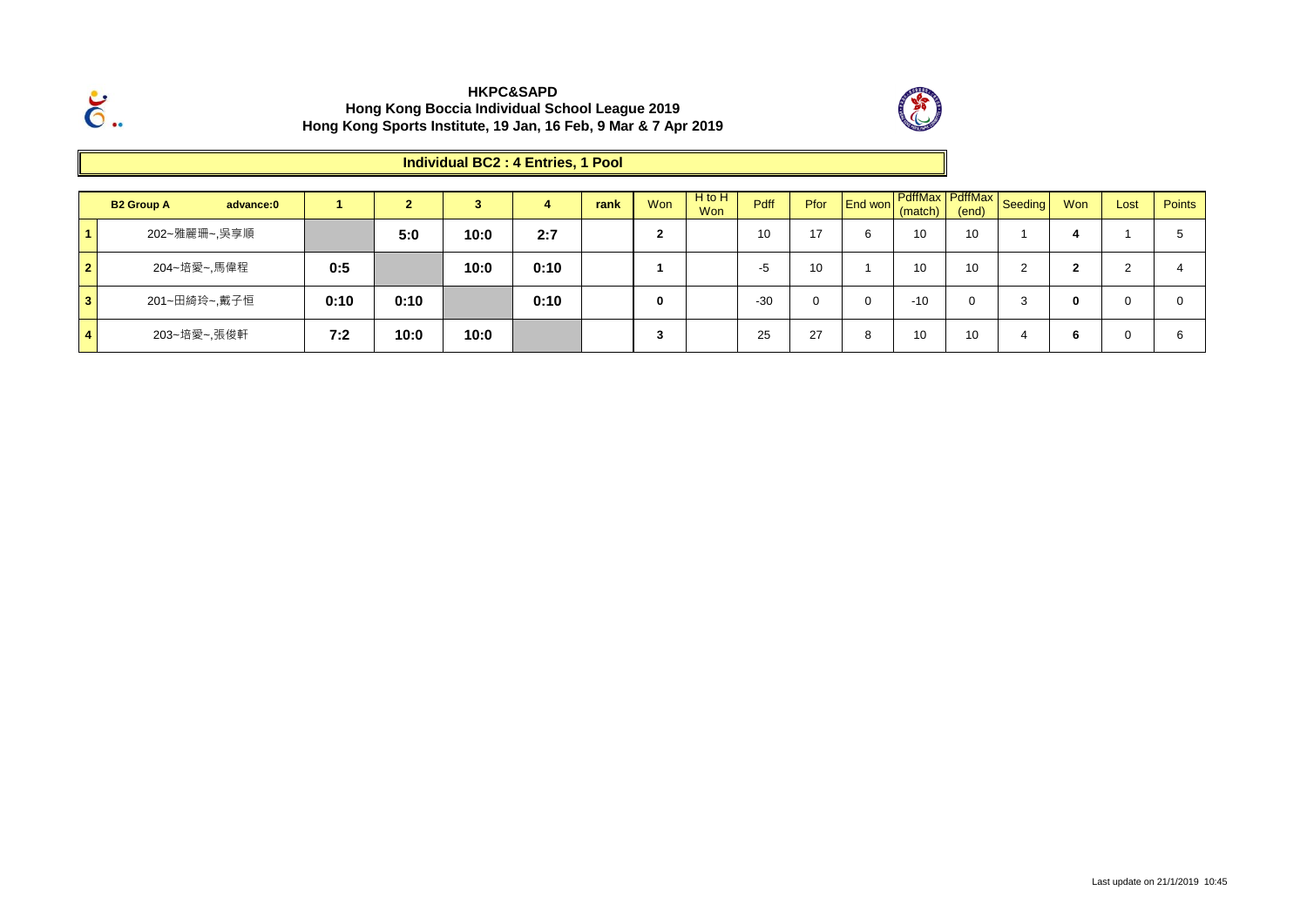

 $\ddot{\rm{6}}$ .

# **Individual BC2 : 4 Entries, 1 Pool**

|              | <b>B2 Group A</b> | advance:0 |      | $\sim$ |      |      | rank | Won | H to H<br>Won | Pdff  | Pfor | End won | (match) | (end)    | PdffMax PdffMax Seeding | Won | Lost | <b>Points</b> |
|--------------|-------------------|-----------|------|--------|------|------|------|-----|---------------|-------|------|---------|---------|----------|-------------------------|-----|------|---------------|
|              | 202~雅麗珊~,吳享順      |           |      | 5:0    | 10:0 | 2:7  |      |     |               | 10    | 17   | 6       | 10      | 10       |                         |     |      |               |
| $\mathbf{2}$ | 204~培愛~,馬偉程       |           | 0:5  |        | 10:0 | 0:10 |      |     |               | -5    | 10   |         | 10      | 10       |                         | ◠   |      |               |
| 3            | 201~田綺玲~,戴子恒      |           | 0:10 | 0:10   |      | 0:10 |      |     |               | $-30$ | 0    | 0       | $-10$   | $\Omega$ | - 3                     | 0   |      |               |
|              | 203~培愛~,張俊軒       |           | 7:2  | 10:0   | 10:0 |      |      | د.  |               | 25    | 27   | 8       | 10      | 10       |                         | 6   |      |               |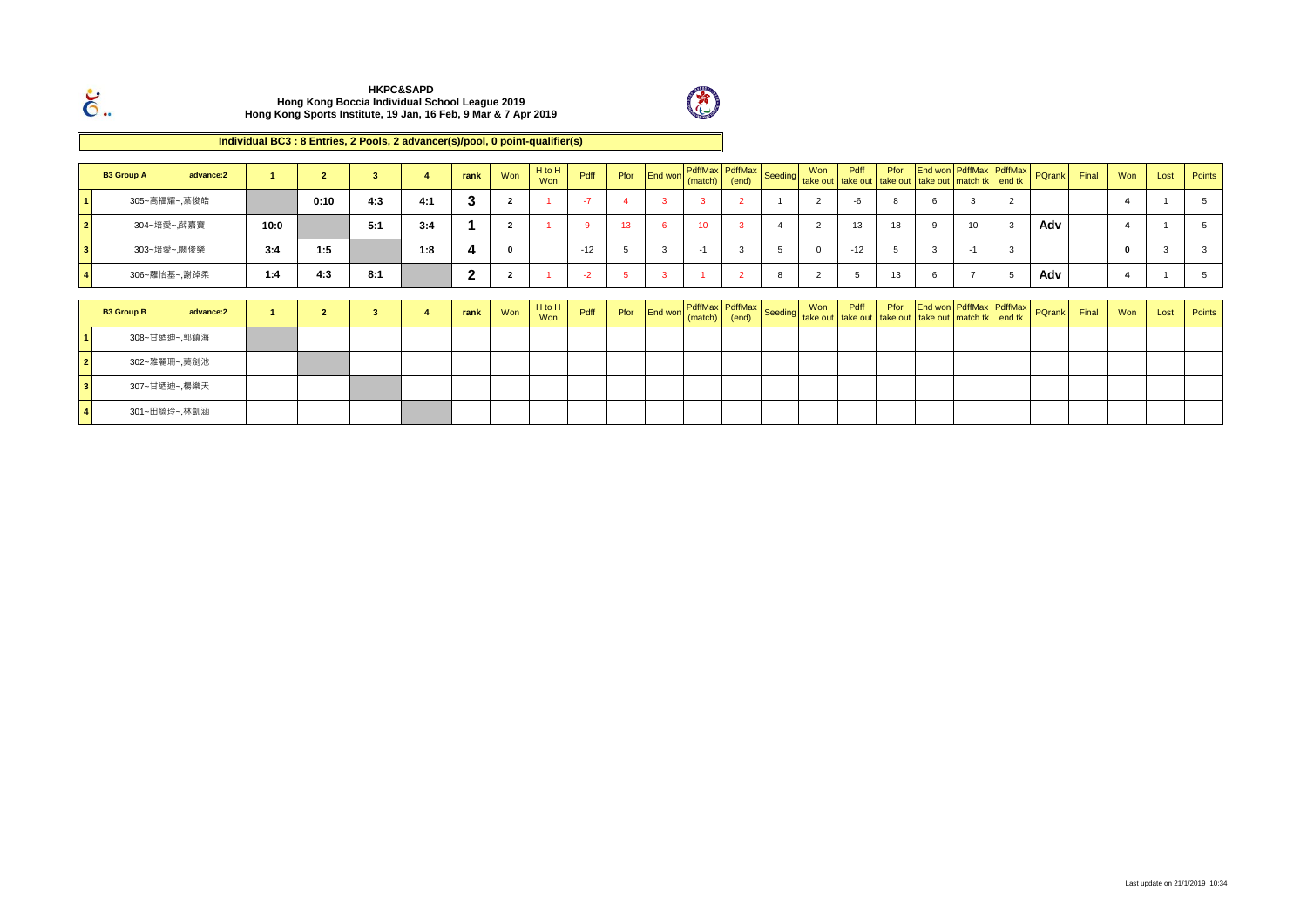



#### **Individual BC3 : 8 Entries, 2 Pools, 2 advancer(s)/pool, 0 point-qualifier(s)**

|                         | <b>B3 Group A</b> | advance:2 |      | $\overline{2}$ | 3   |     | rank         | Won            | H to H<br>Won | Pdff     | Pfor            |   |                      |                |                |       |                |   | End won   PdffMax   PdffMax<br>  End won PdffMax   PdffMax   Seeding   Won   Pdff   Pfor   End won PdffMax   PdffMax<br>  End won   match)   (end)   Seeding   take out   take out   take out   take out   match tk   end tk      |   | PQrank        | Final | Won | Lost | Points |
|-------------------------|-------------------|-----------|------|----------------|-----|-----|--------------|----------------|---------------|----------|-----------------|---|----------------------|----------------|----------------|-------|----------------|---|-----------------------------------------------------------------------------------------------------------------------------------------------------------------------------------------------------------------------------------|---|---------------|-------|-----|------|--------|
|                         | 305~高福耀~,葉俊皓      |           |      | 0:10           | 4:3 | 4:1 | 3            | $\overline{2}$ |               | $-7$     |                 | 3 |                      | $\overline{2}$ | 2              | -6    | 8              |   | 3                                                                                                                                                                                                                                 |   |               |       |     |      |        |
| $\overline{\mathbf{2}}$ | 304~培愛~,薛嘉寶       |           | 10:0 |                | 5:1 | 3:4 |              | $\overline{2}$ |               | $\alpha$ | 13 <sup>2</sup> | 6 | $10-10$              | $\mathbf{R}$   | $\overline{2}$ | 13    | 18             | 9 | 10                                                                                                                                                                                                                                |   | Adv           |       |     |      |        |
|                         | 303~培愛~, 闕俊樂      |           | 3:4  | 1:5            |     | 1:8 |              | $\mathbf 0$    |               | $-12$    |                 | 3 | ÷                    | 3              | $\Omega$       | $-12$ | $\overline{5}$ | 3 | $-1$                                                                                                                                                                                                                              | 3 |               |       |     |      |        |
|                         | 306~羅怡基~,謝踔柔      |           | 1:4  | 4:3            | 8:1 |     | $\mathbf{2}$ | $\overline{2}$ |               | $-2$     |                 | 3 |                      | $\overline{2}$ | $\overline{2}$ |       | 13             | 6 |                                                                                                                                                                                                                                   |   | Adv           |       |     |      |        |
|                         |                   |           |      |                |     |     |              |                | H to H        |          |                 |   |                      |                |                |       |                |   |                                                                                                                                                                                                                                   |   |               |       |     |      |        |
|                         | <b>B3 Group B</b> | advance:2 |      | $\overline{2}$ | 3   |     | rank         | Won            | Won           | Pdff     |                 |   | Pfor End won (match) |                |                |       |                |   | n PdffMax PdffMax Seeding Won Pdff From Life Wonder Protection Publishers and the end the Pendix Pendix Pendix P<br>In Contract Principle Pendix Seeding take out take out take out the end that I and the Pendix Pendix Pendix P |   | <b>PQrank</b> | Final | Won | Lost | Points |
|                         | 308~甘迺迪~,郭鎮海      |           |      |                |     |     |              |                |               |          |                 |   |                      |                |                |       |                |   |                                                                                                                                                                                                                                   |   |               |       |     |      |        |
| $\overline{\mathbf{2}}$ | 302~雅麗珊~,莫劍池      |           |      |                |     |     |              |                |               |          |                 |   |                      |                |                |       |                |   |                                                                                                                                                                                                                                   |   |               |       |     |      |        |
| l 3                     | 307~甘迺迪~,楊樂天      |           |      |                |     |     |              |                |               |          |                 |   |                      |                |                |       |                |   |                                                                                                                                                                                                                                   |   |               |       |     |      |        |
|                         | 301~田綺玲~,林凱涵      |           |      |                |     |     |              |                |               |          |                 |   |                      |                |                |       |                |   |                                                                                                                                                                                                                                   |   |               |       |     |      |        |